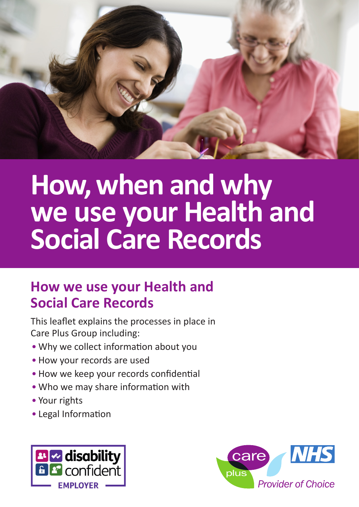

# **How, when and why we use your Health and Social Care Records**

## **How we use your Health and Social Care Records**

This leaflet explains the processes in place in Care Plus Group including:

- Why we collect information about you
- How your records are used
- How we keep your records confidential
- Who we may share information with
- Your rights
- Legal Information



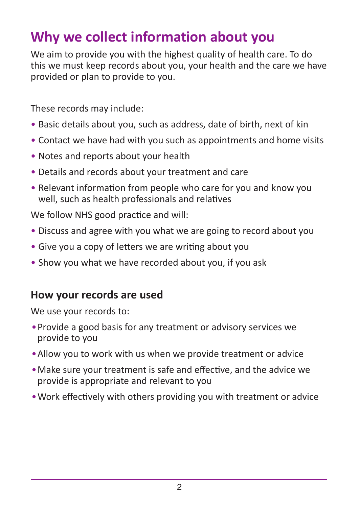# **Why we collect information about you**

We aim to provide you with the highest quality of health care. To do this we must keep records about you, your health and the care we have provided or plan to provide to you.

These records may include:

- Basic details about you, such as address, date of birth, next of kin
- Contact we have had with you such as appointments and home visits
- Notes and reports about your health
- Details and records about your treatment and care
- Relevant information from people who care for you and know you well, such as health professionals and relatives

We follow NHS good practice and will:

- Discuss and agree with you what we are going to record about you
- Give you a copy of letters we are writing about you
- Show you what we have recorded about you, if you ask

#### **How your records are used**

We use your records to:

- •Provide a good basis for any treatment or advisory services we provide to you
- •Allow you to work with us when we provide treatment or advice
- •Make sure your treatment is safe and effective, and the advice we provide is appropriate and relevant to you
- •Work effectively with others providing you with treatment or advice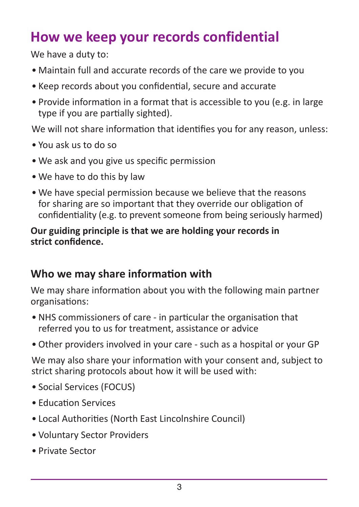# **How we keep your records confidential**

We have a duty to:

- Maintain full and accurate records of the care we provide to you
- Keep records about you confidential, secure and accurate
- Provide information in a format that is accessible to you (e.g. in large type if you are partially sighted).

We will not share information that identifies you for any reason, unless:

- You ask us to do so
- We ask and you give us specific permission
- We have to do this by law
- We have special permission because we believe that the reasons for sharing are so important that they override our obligation of confidentiality (e.g. to prevent someone from being seriously harmed)

#### **Our guiding principle is that we are holding your records in strict confidence.**

## **Who we may share information with**

We may share information about you with the following main partner organisations:

- NHS commissioners of care in particular the organisation that referred you to us for treatment, assistance or advice
- Other providers involved in your care such as a hospital or your GP

We may also share your information with your consent and, subject to strict sharing protocols about how it will be used with:

- Social Services (FOCUS)
- Education Services
- Local Authorities (North East Lincolnshire Council)
- Voluntary Sector Providers
- Private Sector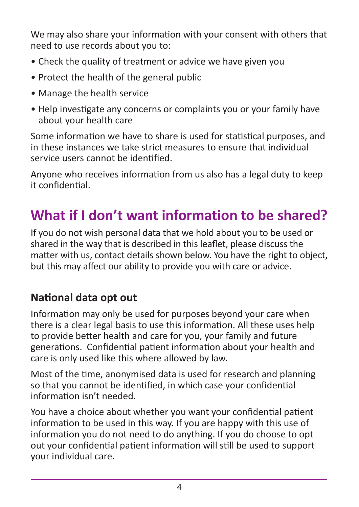We may also share your information with your consent with others that need to use records about you to:

- Check the quality of treatment or advice we have given you
- Protect the health of the general public
- Manage the health service
- Help investigate any concerns or complaints you or your family have about your health care

Some information we have to share is used for statistical purposes, and in these instances we take strict measures to ensure that individual service users cannot be identified.

Anyone who receives information from us also has a legal duty to keep it confidential.

# **What if I don't want information to be shared?**

If you do not wish personal data that we hold about you to be used or shared in the way that is described in this leaflet, please discuss the matter with us, contact details shown below. You have the right to object, but this may affect our ability to provide you with care or advice.

## **National data opt out**

Information may only be used for purposes beyond your care when there is a clear legal basis to use this information. All these uses help to provide better health and care for you, your family and future generations. Confidential patient information about your health and care is only used like this where allowed by law.

Most of the time, anonymised data is used for research and planning so that you cannot be identified, in which case your confidential information isn't needed.

You have a choice about whether you want your confidential patient information to be used in this way. If you are happy with this use of information you do not need to do anything. If you do choose to opt out your confidential patient information will still be used to support your individual care.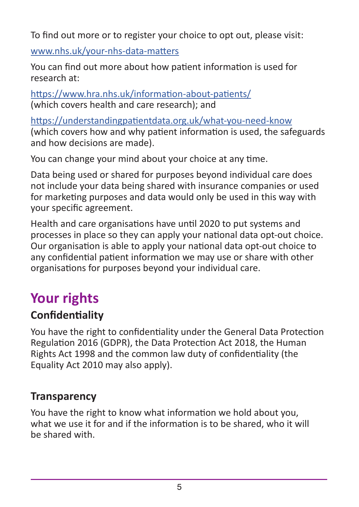To find out more or to register your choice to opt out, please visit:

www.nhs.uk/your-nhs-data-matters

You can find out more about how patient information is used for research at:

https://www.hra.nhs.uk/information-about-patients/ (which covers health and care research); and

https://understandingpatientdata.org.uk/what-you-need-know (which covers how and why patient information is used, the safeguards and how decisions are made).

You can change your mind about your choice at any time.

Data being used or shared for purposes beyond individual care does not include your data being shared with insurance companies or used for marketing purposes and data would only be used in this way with your specific agreement.

Health and care organisations have until 2020 to put systems and processes in place so they can apply your national data opt-out choice. Our organisation is able to apply your national data opt-out choice to any confidential patient information we may use or share with other organisations for purposes beyond your individual care.

# **Your rights**

## **Confidentiality**

You have the right to confidentiality under the General Data Protection Regulation 2016 (GDPR), the Data Protection Act 2018, the Human Rights Act 1998 and the common law duty of confidentiality (the Equality Act 2010 may also apply).

## **Transparency**

You have the right to know what information we hold about you, what we use it for and if the information is to be shared, who it will be shared with.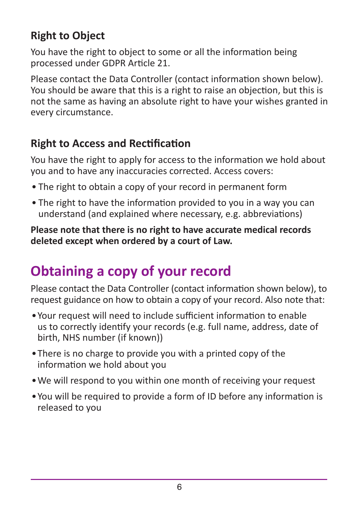## **Right to Object**

You have the right to object to some or all the information being processed under GDPR Article 21.

Please contact the Data Controller (contact information shown below). You should be aware that this is a right to raise an objection, but this is not the same as having an absolute right to have your wishes granted in every circumstance.

## **Right to Access and Rectification**

You have the right to apply for access to the information we hold about you and to have any inaccuracies corrected. Access covers:

- The right to obtain a copy of your record in permanent form
- The right to have the information provided to you in a way you can understand (and explained where necessary, e.g. abbreviations)

**Please note that there is no right to have accurate medical records deleted except when ordered by a court of Law.**

# **Obtaining a copy of your record**

Please contact the Data Controller (contact information shown below), to request guidance on how to obtain a copy of your record. Also note that:

- •Your request will need to include sufficient information to enable us to correctly identify your records (e.g. full name, address, date of birth, NHS number (if known))
- •There is no charge to provide you with a printed copy of the information we hold about you
- •We will respond to you within one month of receiving your request
- •You will be required to provide a form of ID before any information is released to you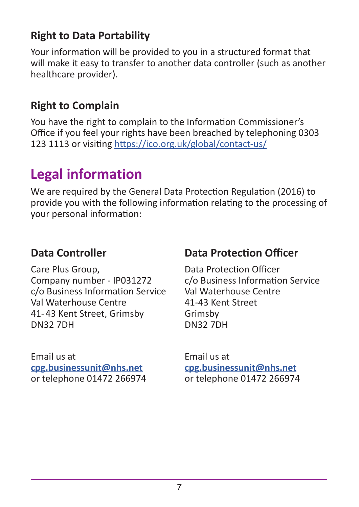## **Right to Data Portability**

Your information will be provided to you in a structured format that will make it easy to transfer to another data controller (such as another healthcare provider).

## **Right to Complain**

You have the right to complain to the Information Commissioner's Office if you feel your rights have been breached by telephoning 0303 123 1113 or visiting https://ico.org.uk/global/contact-us/

# **Legal information**

We are required by the General Data Protection Regulation (2016) to provide you with the following information relating to the processing of your personal information:

#### **Data Controller**

Care Plus Group, Company number - IP031272 c/o Business Information Service Val Waterhouse Centre 41- 43 Kent Street, Grimsby DN32 7DH

Email us at **cpg.businessunit@nhs.net** or telephone 01472 266974

#### **Data Protection Officer**

Data Protection Officer c/o Business Information Service Val Waterhouse Centre 41-43 Kent Street Grimsby DN32 7DH

Email us at **cpg.businessunit@nhs.net** or telephone 01472 266974